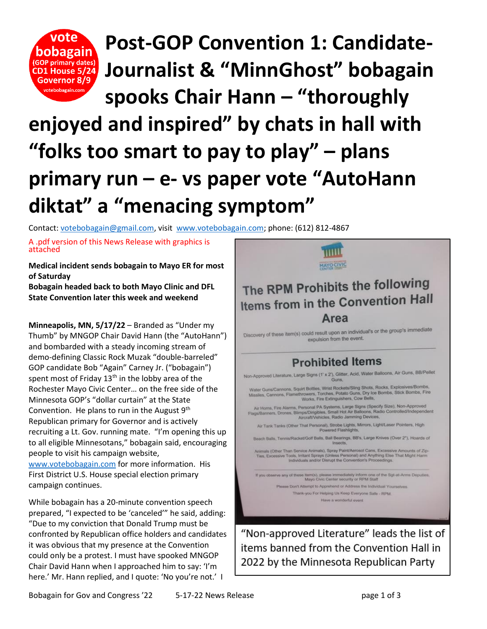

**Post-GOP Convention 1: Candidate-Journalist & "MinnGhost" bobagain** 

**spooks Chair Hann – "thoroughly** 

## **enjoyed and inspired" by chats in hall with "folks too smart to pay to play" – plans primary run – e- vs paper vote "AutoHann diktat" a "menacing symptom"**

Contact: [votebobagain@gmail.com,](mailto:votebobagain@gmail.com) visit [www.votebobagain.com;](http://www.votebobagain.com/) phone: (612) 812-4867

A .pdf version of this News Release with graphics is attached

**Medical incident sends bobagain to Mayo ER for most of Saturday**

**Bobagain headed back to both Mayo Clinic and DFL State Convention later this week and weekend**

**Minneapolis, MN, 5/17/22** – Branded as "Under my Thumb" by MNGOP Chair David Hann (the "AutoHann") and bombarded with a steady incoming stream of demo-defining Classic Rock Muzak "double-barreled" GOP candidate Bob "Again" Carney Jr. ("bobagain") spent most of Friday  $13<sup>th</sup>$  in the lobby area of the Rochester Mayo Civic Center… on the free side of the Minnesota GOP's "dollar curtain" at the State Convention. He plans to run in the August 9<sup>th</sup> Republican primary for Governor and is actively recruiting a Lt. Gov. running mate. "I'm opening this up to all eligible Minnesotans," bobagain said, encouraging people to visit his campaign website, [www.votebobagain.com](http://www.votebobagain.com/) for more information. His First District U.S. House special election primary

While bobagain has a 20-minute convention speech prepared, "I expected to be 'canceled'" he said, adding: "Due to my conviction that Donald Trump must be confronted by Republican office holders and candidates it was obvious that my presence at the Convention could only be a protest. I must have spooked MNGOP Chair David Hann when I approached him to say: 'I'm here.' Mr. Hann replied, and I quote: 'No you're not.' I

campaign continues.



items banned from the Convention Hall in 2022 by the Minnesota Republican Party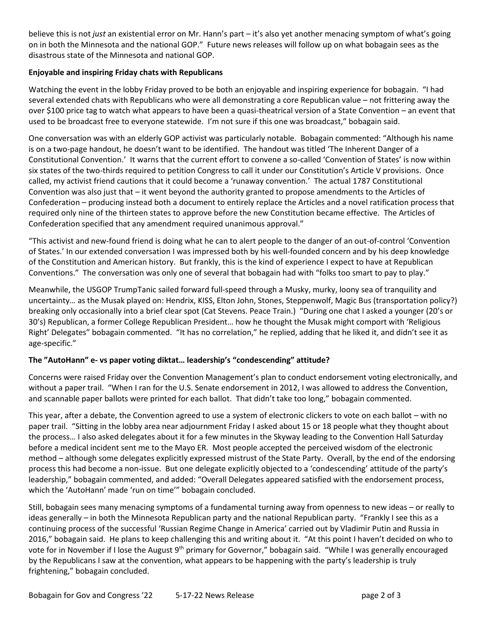believe this is not *just* an existential error on Mr. Hann's part – it's also yet another menacing symptom of what's going on in both the Minnesota and the national GOP." Future news releases will follow up on what bobagain sees as the disastrous state of the Minnesota and national GOP.

## **Enjoyable and inspiring Friday chats with Republicans**

Watching the event in the lobby Friday proved to be both an enjoyable and inspiring experience for bobagain. "I had several extended chats with Republicans who were all demonstrating a core Republican value – not frittering away the over \$100 price tag to watch what appears to have been a quasi-theatrical version of a State Convention – an event that used to be broadcast free to everyone statewide. I'm not sure if this one was broadcast," bobagain said.

One conversation was with an elderly GOP activist was particularly notable. Bobagain commented: "Although his name is on a two-page handout, he doesn't want to be identified. The handout was titled 'The Inherent Danger of a Constitutional Convention.' It warns that the current effort to convene a so-called 'Convention of States' is now within six states of the two-thirds required to petition Congress to call it under our Constitution's Article V provisions. Once called, my activist friend cautions that it could become a 'runaway convention.' The actual 1787 Constitutional Convention was also just that – it went beyond the authority granted to propose amendments to the Articles of Confederation – producing instead both a document to entirely replace the Articles and a novel ratification process that required only nine of the thirteen states to approve before the new Constitution became effective. The Articles of Confederation specified that any amendment required unanimous approval."

"This activist and new-found friend is doing what he can to alert people to the danger of an out-of-control 'Convention of States.' In our extended conversation I was impressed both by his well-founded concern and by his deep knowledge of the Constitution and American history. But frankly, this is the kind of experience I expect to have at Republican Conventions." The conversation was only one of several that bobagain had with "folks too smart to pay to play."

Meanwhile, the USGOP TrumpTanic sailed forward full-speed through a Musky, murky, loony sea of tranquility and uncertainty… as the Musak played on: Hendrix, KISS, Elton John, Stones, Steppenwolf, Magic Bus (transportation policy?) breaking only occasionally into a brief clear spot (Cat Stevens. Peace Train.) "During one chat I asked a younger (20's or 30's) Republican, a former College Republican President… how he thought the Musak might comport with 'Religious Right' Delegates" bobagain commented. "It has no correlation," he replied, adding that he liked it, and didn't see it as age-specific."

## **The "AutoHann" e- vs paper voting diktat… leadership's "condescending" attitude?**

Concerns were raised Friday over the Convention Management's plan to conduct endorsement voting electronically, and without a paper trail. "When I ran for the U.S. Senate endorsement in 2012, I was allowed to address the Convention, and scannable paper ballots were printed for each ballot. That didn't take too long," bobagain commented.

This year, after a debate, the Convention agreed to use a system of electronic clickers to vote on each ballot – with no paper trail. "Sitting in the lobby area near adjournment Friday I asked about 15 or 18 people what they thought about the process… I also asked delegates about it for a few minutes in the Skyway leading to the Convention Hall Saturday before a medical incident sent me to the Mayo ER. Most people accepted the perceived wisdom of the electronic method – although some delegates explicitly expressed mistrust of the State Party. Overall, by the end of the endorsing process this had become a non-issue. But one delegate explicitly objected to a 'condescending' attitude of the party's leadership," bobagain commented, and added: "Overall Delegates appeared satisfied with the endorsement process, which the 'AutoHann' made 'run on time'" bobagain concluded.

Still, bobagain sees many menacing symptoms of a fundamental turning away from openness to new ideas – or really to ideas generally – in both the Minnesota Republican party and the national Republican party. "Frankly I see this as a continuing process of the successful 'Russian Regime Change in America' carried out by Vladimir Putin and Russia in 2016," bobagain said. He plans to keep challenging this and writing about it. "At this point I haven't decided on who to vote for in November if I lose the August 9<sup>th</sup> primary for Governor," bobagain said. "While I was generally encouraged by the Republicans I saw at the convention, what appears to be happening with the party's leadership is truly frightening," bobagain concluded.